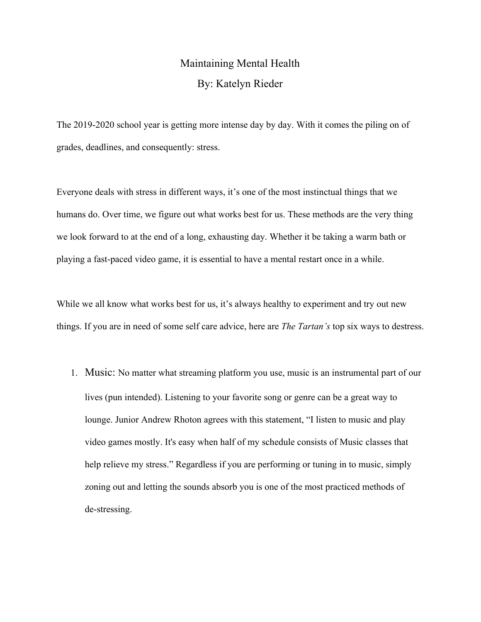## Maintaining Mental Health By: Katelyn Rieder

The 2019-2020 school year is getting more intense day by day. With it comes the piling on of grades, deadlines, and consequently: stress.

Everyone deals with stress in different ways, it's one of the most instinctual things that we humans do. Over time, we figure out what works best for us. These methods are the very thing we look forward to at the end of a long, exhausting day. Whether it be taking a warm bath or playing a fast-paced video game, it is essential to have a mental restart once in a while.

While we all know what works best for us, it's always healthy to experiment and try out new things. If you are in need of some self care advice, here are *The Tartan's* top six ways to destress.

1. Music: No matter what streaming platform you use, music is an instrumental part of our lives (pun intended). Listening to your favorite song or genre can be a great way to lounge. Junior Andrew Rhoton agrees with this statement, "I listen to music and play video games mostly. It's easy when half of my schedule consists of Music classes that help relieve my stress." Regardless if you are performing or tuning in to music, simply zoning out and letting the sounds absorb you is one of the most practiced methods of de-stressing.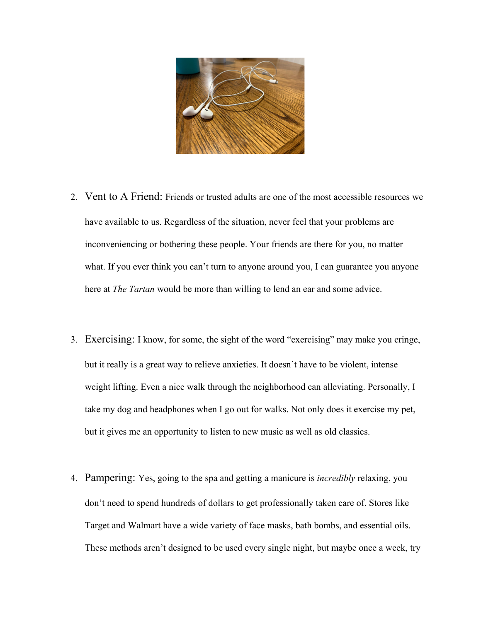

- 2. Vent to A Friend: Friends or trusted adults are one of the most accessible resources we have available to us. Regardless of the situation, never feel that your problems are inconveniencing or bothering these people. Your friends are there for you, no matter what. If you ever think you can't turn to anyone around you, I can guarantee you anyone here at *The Tartan* would be more than willing to lend an ear and some advice.
- 3. Exercising: I know, for some, the sight of the word "exercising" may make you cringe, but it really is a great way to relieve anxieties. It doesn't have to be violent, intense weight lifting. Even a nice walk through the neighborhood can alleviating. Personally, I take my dog and headphones when I go out for walks. Not only does it exercise my pet, but it gives me an opportunity to listen to new music as well as old classics.
- 4. Pampering: Yes, going to the spa and getting a manicure is *incredibly* relaxing, you don't need to spend hundreds of dollars to get professionally taken care of. Stores like Target and Walmart have a wide variety of face masks, bath bombs, and essential oils. These methods aren't designed to be used every single night, but maybe once a week, try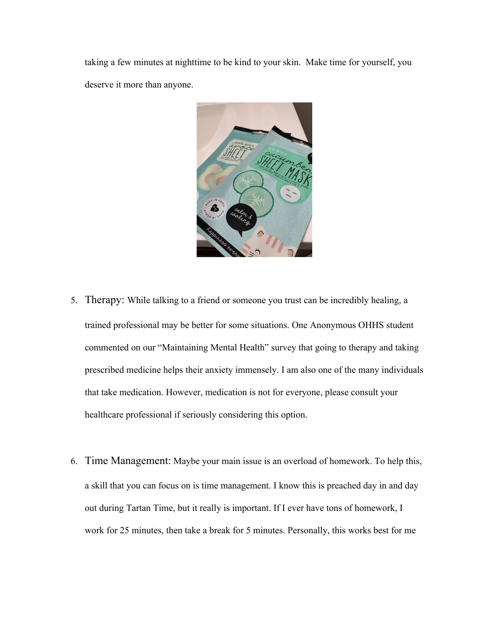taking a few minutes at nighttime to be kind to your skin. Make time for yourself, you deserve it more than anyone.



- 5. Therapy: While talking to a friend or someone you trust can be incredibly healing, a trained professional may be better for some situations. One Anonymous OHHS student commented on our "Maintaining Mental Health" survey that going to therapy and taking prescribed medicine helps their anxiety immensely. I am also one of the many individuals that take medication. However, medication is not for everyone, please consult your healthcare professional if seriously considering this option.
- 6. Time Management: Maybe your main issue is an overload of homework. To help this, a skill that you can focus on is time management. I know this is preached day in and day out during Tartan Time, but it really is important. If I ever have tons of homework, I work for 25 minutes, then take a break for 5 minutes. Personally, this works best for me